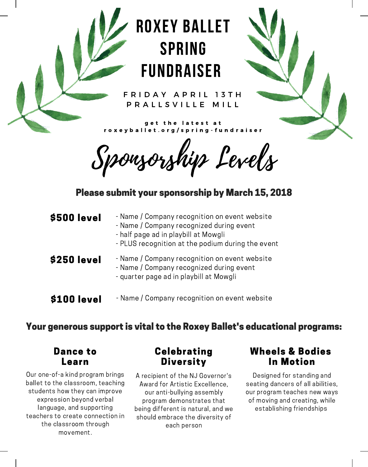# roxey ballet SPRING FUNDRAISER

F R I D A Y A P R I L 13 T H P R A L L S V I L L E M I L L

get the latest at r o x e y b a l l e t . o r g / s p r i n g - f u n d r a i s e r

Sponsorship Levels

Please submit your sponsorship by March 15, 2018

| \$500 level | - Name / Company recognition on event website<br>- Name / Company recognized during event<br>- half page ad in playbill at Mowgli<br>- PLUS recognition at the podium during the event |
|-------------|----------------------------------------------------------------------------------------------------------------------------------------------------------------------------------------|
| \$250 level | - Name / Company recognition on event website<br>- Name / Company recognized during event<br>- quarter page ad in playbill at Mowgli                                                   |
| \$100 level | - Name / Company recognition on event website                                                                                                                                          |

### Your generous support is vital to the Roxey Ballet's educational programs:

#### Dance to Learn

Our one-of-a kind program brings ballet to the classroom, teaching students how they can improve expression beyond verbal language, and supporting teachers to create connection in the classroom through movement.

## **Celebrating Diversity**

A recipient of the NJ Governor's Award for Artistic Excellence, our anti-bullying assembly program demonstrates that being different is natural, and we should embrace the diversity of each person

### Wheels & Bodies In Motion

Designed for standing and seating dancers of all abilities, our program teaches new ways of moving and creating, while establishing friendships